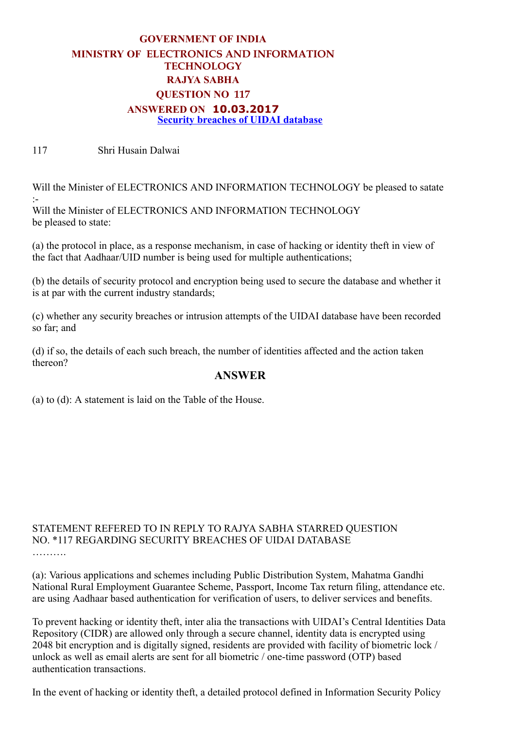## GOVERNMENT OF INDIA MINISTRY OF ELECTRONICS AND INFORMATION TECHNOLOGY RAJYA SABHA QUESTION NO 117 ANSWERED ON 10.03.2017 Security breaches of UIDAI database

117 Shri Husain Dalwai

Will the Minister of ELECTRONICS AND INFORMATION TECHNOLOGY be pleased to satate : Will the Minister of ELECTRONICS AND INFORMATION TECHNOLOGY be pleased to state:

(a) the protocol in place, as a response mechanism, in case of hacking or identity theft in view of the fact that Aadhaar/UID number is being used for multiple authentications;

(b) the details of security protocol and encryption being used to secure the database and whether it is at par with the current industry standards;

(c) whether any security breaches or intrusion attempts of the UIDAI database have been recorded so far; and

(d) if so, the details of each such breach, the number of identities affected and the action taken thereon?

## ANSWER

(a) to (d): A statement is laid on the Table of the House.

## STATEMENT REFERED TO IN REPLY TO RAJYA SABHA STARRED QUESTION NO. \*117 REGARDING SECURITY BREACHES OF UIDAI DATABASE

(a): Various applications and schemes including Public Distribution System, Mahatma Gandhi National Rural Employment Guarantee Scheme, Passport, Income Tax return filing, attendance etc. are using Aadhaar based authentication for verification of users, to deliver services and benefits.

To prevent hacking or identity theft, inter alia the transactions with UIDAI's Central Identities Data Repository (CIDR) are allowed only through a secure channel, identity data is encrypted using 2048 bit encryption and is digitally signed, residents are provided with facility of biometric lock / unlock as well as email alerts are sent for all biometric / one-time password (OTP) based authentication transactions.

In the event of hacking or identity theft, a detailed protocol defined in Information Security Policy